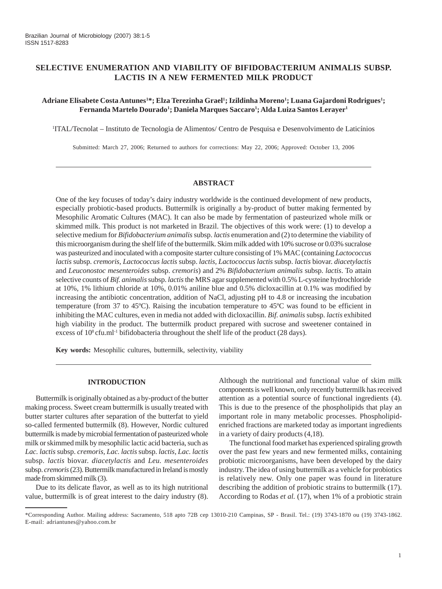# **SELECTIVE ENUMERATION AND VIABILITY OF BIFIDOBACTERIUM ANIMALIS SUBSP. LACTIS IN A NEW FERMENTED MILK PRODUCT**

# **Adriane Elisabete Costa Antunes1 \*; Elza Terezinha Grael1 ; Izildinha Moreno1 ; Luana Gajardoni Rodrigues1 ; Fernanda Martelo Dourado1 ; Daniela Marques Saccaro1 ; Alda Luiza Santos Lerayer1**

1 ITAL/Tecnolat – Instituto de Tecnologia de Alimentos/ Centro de Pesquisa e Desenvolvimento de Laticínios

Submitted: March 27, 2006; Returned to authors for corrections: May 22, 2006; Approved: October 13, 2006

### **ABSTRACT**

One of the key focuses of today's dairy industry worldwide is the continued development of new products, especially probiotic-based products. Buttermilk is originally a by-product of butter making fermented by Mesophilic Aromatic Cultures (MAC). It can also be made by fermentation of pasteurized whole milk or skimmed milk. This product is not marketed in Brazil. The objectives of this work were: (1) to develop a selective medium for *Bifidobacterium animalis* subsp. *lactis* enumeration and (2) to determine the viability of this microorganism during the shelf life of the buttermilk. Skim milk added with 10% sucrose or 0.03% sucralose was pasteurized and inoculated with a composite starter culture consisting of 1% MAC (containing *Lactococcus lactis* subsp. *cremoris, Lactococcus lactis* subsp. *lactis, Lactococcus lactis* subsp. *lactis* biovar. *diacetylactis* and *Leuconostoc mesenteroides* subsp. *cremoris*) and 2% *Bifidobacterium animalis* subsp. *lactis*. To attain selective counts of *Bif. animalis* subsp. *lactis* the MRS agar supplemented with 0.5% L-cysteine hydrochloride at 10%, 1% lithium chloride at 10%, 0.01% aniline blue and 0.5% dicloxacillin at 0.1% was modified by increasing the antibiotic concentration, addition of NaCl, adjusting pH to 4.8 or increasing the incubation temperature (from 37 to 45ºC). Raising the incubation temperature to 45ºC was found to be efficient in inhibiting the MAC cultures, even in media not added with dicloxacillin. *Bif. animalis* subsp. *lactis* exhibited high viability in the product. The buttermilk product prepared with sucrose and sweetener contained in excess of  $10^8$  cfu.ml<sup>-1</sup> bifidobacteria throughout the shelf life of the product (28 days).

**Key words:** Mesophilic cultures, buttermilk, selectivity, viability

#### **INTRODUCTION**

Buttermilk is originally obtained as a by-product of the butter making process. Sweet cream buttermilk is usually treated with butter starter cultures after separation of the butterfat to yield so-called fermented buttermilk (8). However, Nordic cultured buttermilk is made by microbial fermentation of pasteurized whole milk or skimmed milk by mesophilic lactic acid bacteria, such as *Lac. lactis* subsp. *cremoris, Lac. lactis* subsp. *lactis, Lac. lactis* subsp. *lactis* biovar. *diacetylactis* and *Leu. mesenteroides* subsp. *cremoris* (23). Buttermilk manufactured in Ireland is mostly made from skimmed milk (3).

Due to its delicate flavor, as well as to its high nutritional value, buttermilk is of great interest to the dairy industry (8). Although the nutritional and functional value of skim milk components is well known, only recently buttermilk has received attention as a potential source of functional ingredients (4). This is due to the presence of the phospholipids that play an important role in many metabolic processes. Phospholipidenriched fractions are marketed today as important ingredients in a variety of dairy products (4,18).

The functional food market has experienced spiraling growth over the past few years and new fermented milks, containing probiotic microorganisms, have been developed by the dairy industry. The idea of using buttermilk as a vehicle for probiotics is relatively new. Only one paper was found in literature describing the addition of probiotic strains to buttermilk (17). According to Rodas *et al.* (17), when 1% of a probiotic strain

<sup>\*</sup>Corresponding Author. Mailing address: Sacramento, 518 apto 72B cep 13010-210 Campinas, SP - Brasil. Tel.: (19) 3743-1870 ou (19) 3743-1862. E-mail: adriantunes@yahoo.com.br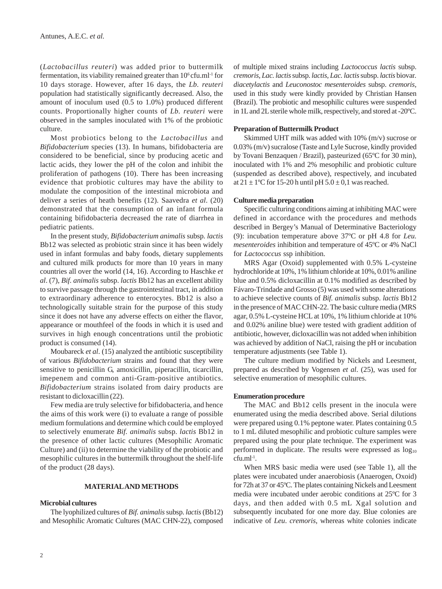(*Lactobacillus reuteri*) was added prior to buttermilk fermentation, its viability remained greater than  $10^6$  cfu.ml<sup>-1</sup> for 10 days storage. However, after 16 days, the *Lb. reuteri* population had statistically significantly decreased. Also, the amount of inoculum used (0.5 to 1.0%) produced different counts. Proportionally higher counts of *Lb. reuteri* were observed in the samples inoculated with 1% of the probiotic culture.

Most probiotics belong to the *Lactobacillus* and *Bifidobacterium* species (13). In humans, bifidobacteria are considered to be beneficial, since by producing acetic and lactic acids, they lower the pH of the colon and inhibit the proliferation of pathogens (10). There has been increasing evidence that probiotic cultures may have the ability to modulate the composition of the intestinal microbiota and deliver a series of heath benefits (12). Saavedra *et al*. (20) demonstrated that the consumption of an infant formula containing bifidobacteria decreased the rate of diarrhea in pediatric patients.

In the present study, *Bifidobacterium animalis* subsp*. lactis* Bb12 was selected as probiotic strain since it has been widely used in infant formulas and baby foods, dietary supplements and cultured milk products for more than 10 years in many countries all over the world (14, 16). According to Haschke *et al*. (7), *Bif. animalis* subsp. *lactis* Bb12 has an excellent ability to survive passage through the gastrointestinal tract, in addition to extraordinary adherence to enterocytes. Bb12 is also a technologically suitable strain for the purpose of this study since it does not have any adverse effects on either the flavor, appearance or mouthfeel of the foods in which it is used and survives in high enough concentrations until the probiotic product is consumed (14).

Moubareck *et al*. (15) analyzed the antibiotic susceptibility of various *Bifidobacterium* strains and found that they were sensitive to penicillin G, amoxicillin, piperacillin, ticarcillin, imepenem and common anti-Gram-positive antibiotics. *Bifidobacterium* strains isolated from dairy products are resistant to dicloxacillin (22).

Few media are truly selective for bifidobacteria, and hence the aims of this work were (i) to evaluate a range of possible medium formulations and determine which could be employed to selectively enumerate *Bif. animalis* subsp. *lactis* Bb12 in the presence of other lactic cultures (Mesophilic Aromatic Culture) and (ii) to determine the viability of the probiotic and mesophilic cultures in the buttermilk throughout the shelf-life of the product (28 days).

#### **MATERIAL AND METHODS**

#### **Microbial cultures**

The lyophilized cultures of *Bif. animalis* subsp. *lactis* (Bb12) and Mesophilic Aromatic Cultures (MAC CHN-22), composed of multiple mixed strains including *Lactococcus lactis* subsp. *cremoris, Lac. lactis* subsp. *lactis, Lac. lactis* subsp. *lactis* biovar*. diacetylactis* and *Leuconostoc mesenteroides* subsp. *cremoris,* used in this study were kindly provided by Christian Hansen (Brazil). The probiotic and mesophilic cultures were suspended in 1L and 2L sterile whole milk, respectively, and stored at -20ºC.

### **Preparation of Buttermilk Product**

Skimmed UHT milk was added with 10% (m/v) sucrose or 0.03% (m/v) sucralose (Taste and Lyle Sucrose, kindly provided by Tovani Benzaquen / Brazil), pasteurized (65ºC for 30 min), inoculated with 1% and 2% mesophilic and probiotic culture (suspended as described above), respectively, and incubated at  $21 \pm 1$ <sup>o</sup>C for 15-20 h until pH  $5.0 \pm 0.1$  was reached.

## **Culture media preparation**

Specific culturing conditions aiming at inhibiting MAC were defined in accordance with the procedures and methods described in Bergey's Manual of Determinative Bacteriology (9): incubation temperature above 37ºC or pH 4.8 for *Leu. mesenteroides* inhibition and temperature of 45ºC or 4% NaCl for *Lactococcus* ssp inhibition.

MRS Agar (Oxoid) supplemented with 0.5% L-cysteine hydrochloride at 10%, 1% lithium chloride at 10%, 0.01% aniline blue and 0.5% dicloxacillin at 0.1% modified as described by Fávaro-Trindade and Grosso (5) was used with some alterations to achieve selective counts of *Bif. animalis* subsp. *lactis* Bb12 in the presence of MAC CHN-22. The basic culture media (MRS agar, 0.5% L-cysteine HCL at 10%, 1% lithium chloride at 10% and 0.02% aniline blue) were tested with gradient addition of antibiotic, however, dicloxacillin was not added when inhibition was achieved by addition of NaCl, raising the pH or incubation temperature adjustments (see Table 1).

The culture medium modified by Nickels and Leesment, prepared as described by Vogensen *et al*. (25), was used for selective enumeration of mesophilic cultures.

### **Enumeration procedure**

The MAC and Bb12 cells present in the inocula were enumerated using the media described above. Serial dilutions were prepared using 0.1% peptone water. Plates containing 0.5 to 1 mL diluted mesophilic and probiotic culture samples were prepared using the pour plate technique. The experiment was performed in duplicate. The results were expressed as  $log_{10}$ cfu.ml-1.

When MRS basic media were used (see Table 1), all the plates were incubated under anaerobiosis (Anaerogen, Oxoid) for 72h at 37 or 45ºC. The plates containing Nickels and Leesment media were incubated under aerobic conditions at 25ºC for 3 days, and then added with 0.5 mL Xgal solution and subsequently incubated for one more day. Blue colonies are indicative of *Leu*. *cremoris*, whereas white colonies indicate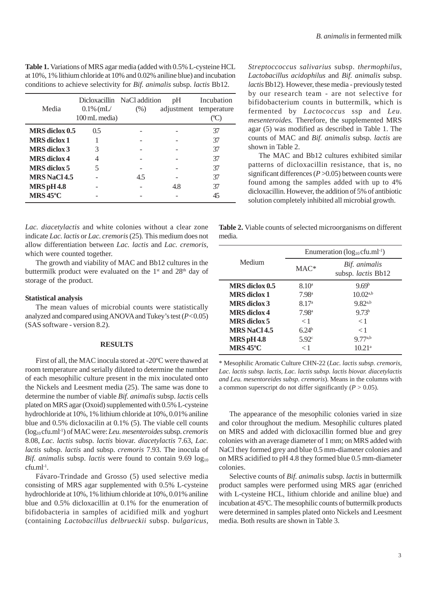| Table 1. Variations of MRS agar media (added with 0.5% L-cysteine HCL                 |
|---------------------------------------------------------------------------------------|
| at 10%, 1% lithium chloride at 10% and 0.02% aniline blue) and incubation             |
| conditions to achieve selectivity for <i>Bif. animalis</i> subsp. <i>lactis</i> Bb12. |

| Media                       | $0.1\%$ (mL/<br>100 mL media) | Dicloxacillin NaCl addition<br>$(\%)$ | pH<br>adjustment | Incubation<br>temperature |
|-----------------------------|-------------------------------|---------------------------------------|------------------|---------------------------|
| MRS diclox 0.5              | 0.5                           |                                       |                  | 37                        |
| <b>MRS</b> diclox 1         |                               |                                       |                  | 37                        |
| <b>MRS</b> diclox 3         | 3                             |                                       |                  | 37                        |
| <b>MRS</b> diclox 4         |                               |                                       |                  | 37                        |
| <b>MRS</b> diclox 5         | 5                             |                                       |                  | 37                        |
| <b>MRS NaCl 4.5</b>         |                               | 4.5                                   |                  | 37                        |
| <b>MRS</b> pH 4.8           |                               |                                       | 4.8              | 37                        |
| $MRS\,45^{\circ}\mathrm{C}$ |                               |                                       |                  | 45                        |

*Lac. diacetylactis* and white colonies without a clear zone indicate *Lac. lactis* or *Lac. cremoris* (25)*.* This medium does not allow differentiation between *Lac. lactis* and *Lac. cremoris,* which were counted together.

The growth and viability of MAC and Bb12 cultures in the buttermilk product were evaluated on the 1<sup>st</sup> and 28<sup>th</sup> day of storage of the product.

### **Statistical analysis**

The mean values of microbial counts were statistically analyzed and compared using ANOVA and Tukey's test (*P<*0.05) (SAS software - version 8.2).

# **RESULTS**

First of all, the MAC inocula stored at -20ºC were thawed at room temperature and serially diluted to determine the number of each mesophilic culture present in the mix inoculated onto the Nickels and Leesment media (25). The same was done to determine the number of viable *Bif. animalis* subsp. *lactis* cells plated on MRS agar (Oxoid) supplemented with 0.5% L-cysteine hydrochloride at 10%, 1% lithium chloride at 10%, 0.01% aniline blue and 0.5% dicloxacilin at 0.1% (5). The viable cell counts (log10 cfu.ml-1) of MAC were: *Leu. mesenteroides* subsp. *cremoris* 8.08, *Lac. lactis* subsp. *lactis* biovar. *diacetylactis* 7.63, *Lac. lactis* subsp. *lactis* and subsp. *cremoris* 7.93. The inocula of *Bif. animalis subsp. lactis were found to contain*  $9.69 \log_{10}$ cfu.ml-1.

Fávaro-Trindade and Grosso (5) used selective media consisting of MRS agar supplemented with 0.5% L-cysteine hydrochloride at 10%, 1% lithium chloride at 10%, 0.01% aniline blue and 0.5% dicloxacillin at 0.1% for the enumeration of bifidobacteria in samples of acidified milk and yoghurt (containing *Lactobacillus delbrueckii* subsp. *bulgaricus,* *Streptoccoccus salivarius* subsp. *thermophilus*, *Lactobacillus acidophilus* and *Bif. animalis* subsp. *lactis* Bb12). However, these media - previously tested by our research team - are not selective for bifidobacterium counts in buttermilk, which is fermented by *Lactococcus* ssp and *Leu. mesenteroides.* Therefore, the supplemented MRS agar (5) was modified as described in Table 1. The counts of MAC and *Bif. animalis* subsp. *lactis* are shown in Table 2.

The MAC and Bb12 cultures exhibited similar patterns of dicloxacillin resistance, that is, no significant differences (*P* >0.05) between counts were found among the samples added with up to 4% dicloxacillin. However, the addition of 5% of antibiotic solution completely inhibited all microbial growth.

**Table 2.** Viable counts of selected microorganisms on different media.

|                             | Enumeration $(log_{10}c$ fu.ml <sup>-1</sup> ) |                                            |  |  |
|-----------------------------|------------------------------------------------|--------------------------------------------|--|--|
| Medium                      | $MAC*$                                         | Bif. animalis<br>subsp. <i>lactis</i> Bb12 |  |  |
| MRS diclox 0.5              | 8.10 <sup>a</sup>                              | 9.69 <sup>b</sup>                          |  |  |
| <b>MRS</b> diclox 1         | 7.98 <sup>a</sup>                              | $10.02^{a,b}$                              |  |  |
| <b>MRS</b> diclox 3         | 8.17 <sup>a</sup>                              | $9.82^{a,b}$                               |  |  |
| MRS diclox 4                | 7.98 <sup>a</sup>                              | 9.73 <sup>b</sup>                          |  |  |
| <b>MRS</b> diclox 5         | $\lt 1$                                        | < 1                                        |  |  |
| <b>MRS NaCl 4.5</b>         | 6.24 <sup>b</sup>                              | < 1                                        |  |  |
| <b>MRS</b> pH 4.8           | 5.92 <sup>c</sup>                              | $9.77^{a,b}$                               |  |  |
| $MRS\,45^{\circ}\mathrm{C}$ | $\lt1$                                         | 10.21 <sup>a</sup>                         |  |  |

\* Mesophilic Aromatic Culture CHN-22 (*Lac. lactis subsp. cremoris, Lac. lactis subsp. lactis, Lac. lactis subsp. lactis biovar. diacetylactis and Leu. mesentoreides subsp. cremoris*). Means in the columns with a common superscript do not differ significantly  $(P > 0.05)$ .

The appearance of the mesophilic colonies varied in size and color throughout the medium. Mesophilic cultures plated on MRS and added with dicloxacillin formed blue and grey colonies with an average diameter of 1 mm; on MRS added with NaCl they formed grey and blue 0.5 mm-diameter colonies and on MRS acidified to pH 4.8 they formed blue 0.5 mm-diameter colonies.

Selective counts of *Bif. animalis* subsp. *lactis* in buttermilk product samples were performed using MRS agar (enriched with L-cysteine HCL, lithium chloride and aniline blue) and incubation at 45ºC. The mesophilic counts of buttermilk products were determined in samples plated onto Nickels and Leesment media. Both results are shown in Table 3.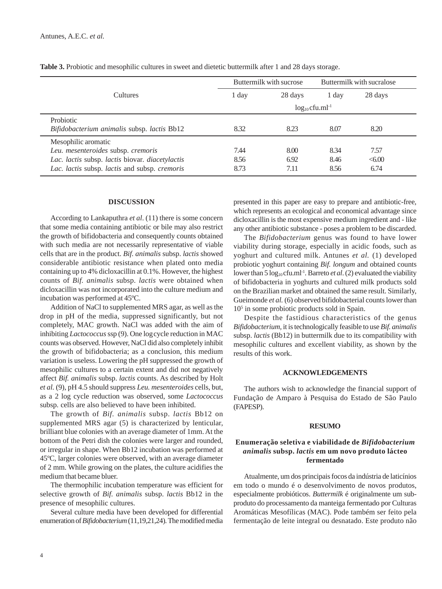|                                                                                                                                                               | Buttermilk with sucrose         |                      | Buttermilk with sucralose |                       |
|---------------------------------------------------------------------------------------------------------------------------------------------------------------|---------------------------------|----------------------|---------------------------|-----------------------|
| Cultures                                                                                                                                                      | 1 day                           | 28 days              | 1 day                     | 28 days               |
|                                                                                                                                                               | $log_{10}$ cfu.ml <sup>-1</sup> |                      |                           |                       |
| Probiotic<br>Bifidobacterium animalis subsp. lactis Bb12                                                                                                      | 8.32                            | 8.23                 | 8.07                      | 8.20                  |
| Mesophilic aromatic<br>Leu. mesenteroides subsp. cremoris<br>Lac. lactis subsp. lactis biovar. diacetylactis<br>Lac. lactis subsp. lactis and subsp. cremoris | 7.44<br>8.56<br>8.73            | 8.00<br>6.92<br>7.11 | 8.34<br>8.46<br>8.56      | 7.57<br><6.00<br>6.74 |

**Table 3.** Probiotic and mesophilic cultures in sweet and dietetic buttermilk after 1 and 28 days storage.

#### **DISCUSSION**

According to Lankaputhra *et al*. (11) there is some concern that some media containing antibiotic or bile may also restrict the growth of bifidobacteria and consequently counts obtained with such media are not necessarily representative of viable cells that are in the product. *Bif. animalis* subsp. *lactis* showed considerable antibiotic resistance when plated onto media containing up to 4% dicloxacillin at 0.1%. However, the highest counts of *Bif. animalis* subsp. *lactis* were obtained when dicloxacillin was not incorporated into the culture medium and incubation was performed at 45ºC.

Addition of NaCl to supplemented MRS agar, as well as the drop in pH of the media, suppressed significantly, but not completely, MAC growth. NaCl was added with the aim of inhibiting *Lactococcus* ssp (9). One logcycle reduction in MAC counts was observed. However, NaCl did also completely inhibit the growth of bifidobacteria; as a conclusion, this medium variation is useless. Lowering the pH suppressed the growth of mesophilic cultures to a certain extent and did not negatively affect *Bif. animalis* subsp. *lactis* counts. As described by Holt *et al.* (9), pH 4.5 should suppress *Leu. mesenteroides* cells, but, as a 2 log cycle reduction was observed, some *Lactococcus* subsp. cells are also believed to have been inhibited.

The growth of *Bif. animalis* subsp. *lactis* Bb12 on supplemented MRS agar (5) is characterized by lenticular, brilliant blue colonies with an average diameter of 1mm. At the bottom of the Petri dish the colonies were larger and rounded, or irregular in shape. When Bb12 incubation was performed at 45ºC, larger colonies were observed, with an average diameter of 2 mm. While growing on the plates, the culture acidifies the medium that became bluer.

The thermophilic incubation temperature was efficient for selective growth of *Bif. animalis* subsp. *lactis* Bb12 in the presence of mesophilic cultures.

Several culture media have been developed for differential enumeration of *Bifidobacterium* (11,19,21,24). The modified media presented in this paper are easy to prepare and antibiotic-free, which represents an ecological and economical advantage since dicloxacillin is the most expensive medium ingredient and - like any other antibiotic substance - poses a problem to be discarded.

The *Bifidobacterium* genus was found to have lower viability during storage, especially in acidic foods, such as yoghurt and cultured milk. Antunes *et al.* (1) developed probiotic yoghurt containing *Bif. longum* and obtained counts lower than  $5 \log_{10} c$  fu.ml<sup>-1</sup>. Barreto *et al.* (2) evaluated the viability of bifidobacteria in yoghurts and cultured milk products sold on the Brazilian market and obtained the same result. Similarly, Gueimonde *et al.* (6) observed bifidobacterial counts lower than 105 in some probiotic products sold in Spain.

Despite the fastidious characteristics of the genus *Bifidobacterium,* it is technologically feasible to use *Bif. animalis* subsp. *lactis* (Bb12) in buttermilk due to its compatibility with mesophilic cultures and excellent viability, as shown by the results of this work.

#### **ACKNOWLEDGEMENTS**

The authors wish to acknowledge the financial support of Fundação de Amparo à Pesquisa do Estado de São Paulo (FAPESP).

#### **RESUMO**

# **Enumeração seletiva e viabilidade de** *Bifidobacterium animalis* **subsp.** *lactis* **em um novo produto lácteo fermentado**

Atualmente, um dos principais focos da indústria de laticínios em todo o mundo é o desenvolvimento de novos produtos, especialmente probióticos. *Buttermilk* é originalmente um subproduto do processamento da manteiga fermentado por Culturas Aromáticas Mesofílicas (MAC). Pode também ser feito pela fermentação de leite integral ou desnatado. Este produto não